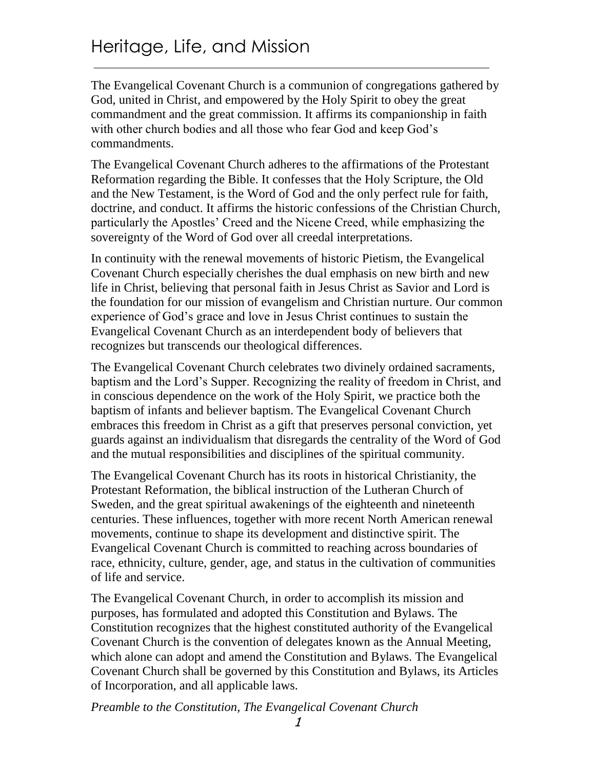The Evangelical Covenant Church is a communion of congregations gathered by God, united in Christ, and empowered by the Holy Spirit to obey the great commandment and the great commission. It affirms its companionship in faith with other church bodies and all those who fear God and keep God's commandments.

The Evangelical Covenant Church adheres to the affirmations of the Protestant Reformation regarding the Bible. It confesses that the Holy Scripture, the Old and the New Testament, is the Word of God and the only perfect rule for faith, doctrine, and conduct. It affirms the historic confessions of the Christian Church, particularly the Apostles' Creed and the Nicene Creed, while emphasizing the sovereignty of the Word of God over all creedal interpretations.

In continuity with the renewal movements of historic Pietism, the Evangelical Covenant Church especially cherishes the dual emphasis on new birth and new life in Christ, believing that personal faith in Jesus Christ as Savior and Lord is the foundation for our mission of evangelism and Christian nurture. Our common experience of God's grace and love in Jesus Christ continues to sustain the Evangelical Covenant Church as an interdependent body of believers that recognizes but transcends our theological differences.

The Evangelical Covenant Church celebrates two divinely ordained sacraments, baptism and the Lord's Supper. Recognizing the reality of freedom in Christ, and in conscious dependence on the work of the Holy Spirit, we practice both the baptism of infants and believer baptism. The Evangelical Covenant Church embraces this freedom in Christ as a gift that preserves personal conviction, yet guards against an individualism that disregards the centrality of the Word of God and the mutual responsibilities and disciplines of the spiritual community.

The Evangelical Covenant Church has its roots in historical Christianity, the Protestant Reformation, the biblical instruction of the Lutheran Church of Sweden, and the great spiritual awakenings of the eighteenth and nineteenth centuries. These influences, together with more recent North American renewal movements, continue to shape its development and distinctive spirit. The Evangelical Covenant Church is committed to reaching across boundaries of race, ethnicity, culture, gender, age, and status in the cultivation of communities of life and service.

The Evangelical Covenant Church, in order to accomplish its mission and purposes, has formulated and adopted this Constitution and Bylaws. The Constitution recognizes that the highest constituted authority of the Evangelical Covenant Church is the convention of delegates known as the Annual Meeting, which alone can adopt and amend the Constitution and Bylaws. The Evangelical Covenant Church shall be governed by this Constitution and Bylaws, its Articles of Incorporation, and all applicable laws.

*Preamble to the Constitution, The Evangelical Covenant Church*